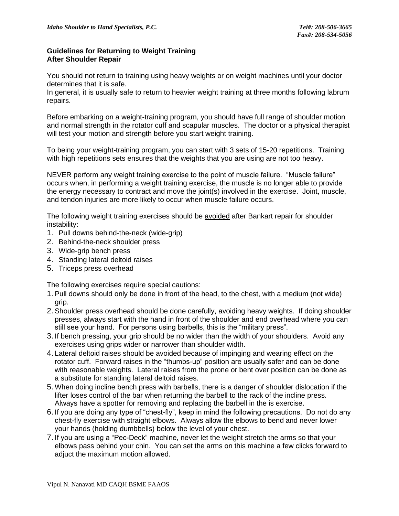## **Guidelines for Returning to Weight Training After Shoulder Repair**

You should not return to training using heavy weights or on weight machines until your doctor determines that it is safe.

In general, it is usually safe to return to heavier weight training at three months following labrum repairs.

Before embarking on a weight-training program, you should have full range of shoulder motion and normal strength in the rotator cuff and scapular muscles. The doctor or a physical therapist will test your motion and strength before you start weight training.

To being your weight-training program, you can start with 3 sets of 15-20 repetitions. Training with high repetitions sets ensures that the weights that you are using are not too heavy.

NEVER perform any weight training exercise to the point of muscle failure. "Muscle failure" occurs when, in performing a weight training exercise, the muscle is no longer able to provide the energy necessary to contract and move the joint(s) involved in the exercise. Joint, muscle, and tendon injuries are more likely to occur when muscle failure occurs.

The following weight training exercises should be avoided after Bankart repair for shoulder instability:

- 1. Pull downs behind-the-neck (wide-grip)
- 2. Behind-the-neck shoulder press
- 3. Wide-grip bench press
- 4. Standing lateral deltoid raises
- 5. Triceps press overhead

The following exercises require special cautions:

- 1. Pull downs should only be done in front of the head, to the chest, with a medium (not wide) grip.
- 2. Shoulder press overhead should be done carefully, avoiding heavy weights. If doing shoulder presses, always start with the hand in front of the shoulder and end overhead where you can still see your hand. For persons using barbells, this is the "military press".
- 3. If bench pressing, your grip should be no wider than the width of your shoulders. Avoid any exercises using grips wider or narrower than shoulder width.
- 4. Lateral deltoid raises should be avoided because of impinging and wearing effect on the rotator cuff. Forward raises in the "thumbs-up" position are usually safer and can be done with reasonable weights. Lateral raises from the prone or bent over position can be done as a substitute for standing lateral deltoid raises.
- 5. When doing incline bench press with barbells, there is a danger of shoulder dislocation if the lifter loses control of the bar when returning the barbell to the rack of the incline press. Always have a spotter for removing and replacing the barbell in the is exercise.
- 6. If you are doing any type of "chest-fly", keep in mind the following precautions. Do not do any chest-fly exercise with straight elbows. Always allow the elbows to bend and never lower your hands (holding dumbbells) below the level of your chest.
- 7. If you are using a "Pec-Deck" machine, never let the weight stretch the arms so that your elbows pass behind your chin. You can set the arms on this machine a few clicks forward to adjuct the maximum motion allowed.